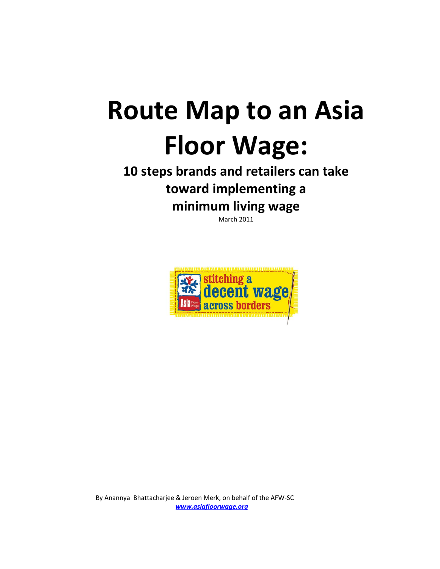# **Route Map to an Asia Floor Wage:**

## **minimum living wage**<br>March 2011 **10 steps brands and retailers can take toward implementing a**

March 2011



By Anannya Bhattacharjee & Jeroen Merk, on behalf of the AFW-SC  $www.asia$ **floorwage.org**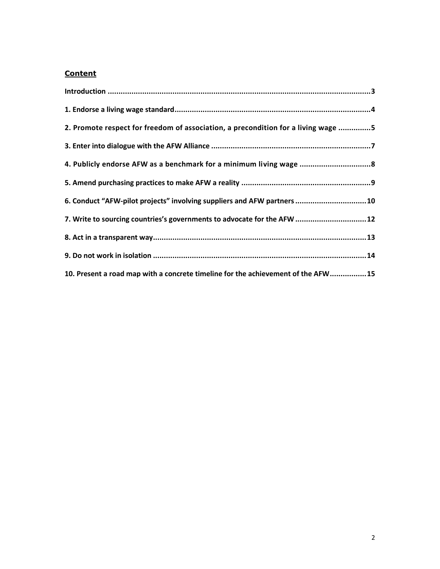### **Content**

| 2. Promote respect for freedom of association, a precondition for a living wage 5 |  |
|-----------------------------------------------------------------------------------|--|
|                                                                                   |  |
| 4. Publicly endorse AFW as a benchmark for a minimum living wage                  |  |
|                                                                                   |  |
| 6. Conduct "AFW-pilot projects" involving suppliers and AFW partners  10          |  |
| 7. Write to sourcing countries's governments to advocate for the AFW  12          |  |
|                                                                                   |  |
|                                                                                   |  |
| 10. Present a road map with a concrete timeline for the achievement of the AFW15  |  |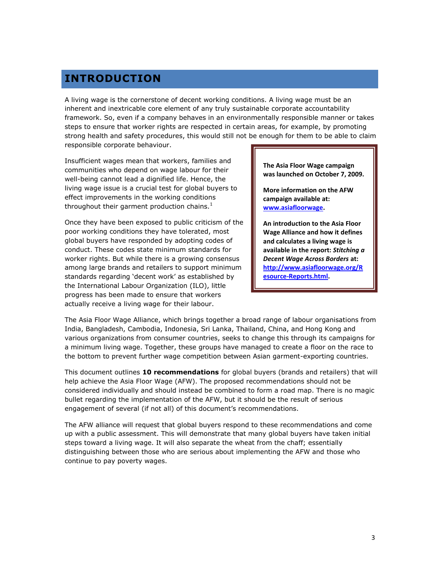## <span id="page-2-0"></span>**INTRODUCTION**

A living wage is the cornerstone of decent working conditions. A living wage must be an inherent and inextricable core element of any truly sustainable corporate accountability framework. So, even if a company behaves in an environmentally responsible manner or takes steps to ensure that worker rights are respected in certain areas, for example, by promoting strong health and safety procedures, this would still not be enough for them to be able to claim responsible corporate behaviour.

Insufficient wages mean that workers, families and communities who depend on wage labour for their well-being cannot lead a dignified life. Hence, the living wage issue is a crucial test for global buyers to effect improvements in the working conditions throughout their garment production chains. $1$ 

Once they have been exposed to public criticism of the poor working conditions they have tolerated, most global buyers have responded by adopting codes of conduct. These codes state minimum standards for worker rights. But while there is a growing consensus among large brands and retailers to support minimum standards regarding "decent work" as established by the International Labour Organization (ILO), little progress has been made to ensure that workers actually receive a living wage for their labour.

**The Asia Floor Wage campaign was launched on October 7, 2009.**

**More information on the AFW campaign available at: [www.asiafloorwage.](http://www.asiafloorwage/)**

**An introduction to the Asia Floor Wage Alliance and how it defines and calculates a living wage is available in the report:** *Stitching a Decent Wage Across Borders* **at: [http://www.asiafloorwage.org/R](http://www.asiafloorwage.org/Resource-Reports.html) [esource-Reports.html.](http://www.asiafloorwage.org/Resource-Reports.html)**

The Asia Floor Wage Alliance, which brings together a broad range of labour organisations from India, Bangladesh, Cambodia, Indonesia, Sri Lanka, Thailand, China, and Hong Kong and various organizations from consumer countries, seeks to change this through its campaigns for a minimum living wage. Together, these groups have managed to create a floor on the race to the bottom to prevent further wage competition between Asian garment-exporting countries.

This document outlines **10 recommendations** for global buyers (brands and retailers) that will help achieve the Asia Floor Wage (AFW). The proposed recommendations should not be considered individually and should instead be combined to form a road map. There is no magic bullet regarding the implementation of the AFW, but it should be the result of serious engagement of several (if not all) of this document's recommendations.

The AFW alliance will request that global buyers respond to these recommendations and come up with a public assessment. This will demonstrate that many global buyers have taken initial steps toward a living wage. It will also separate the wheat from the chaff; essentially distinguishing between those who are serious about implementing the AFW and those who continue to pay poverty wages.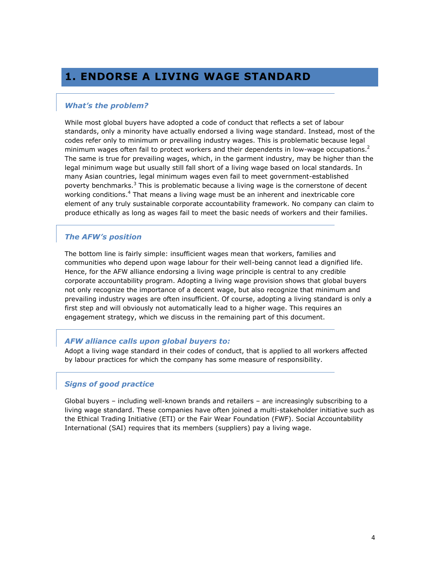## <span id="page-3-0"></span>**1. ENDORSE A LIVING WAGE STANDARD**

#### *What's the problem?*

While most global buyers have adopted a code of conduct that reflects a set of labour standards, only a minority have actually endorsed a living wage standard. Instead, most of the codes refer only to minimum or prevailing industry wages. This is problematic because legal minimum wages often fail to protect workers and their dependents in low-wage occupations.<sup>2</sup> The same is true for prevailing wages, which, in the garment industry, may be higher than the legal minimum wage but usually still fall short of a living wage based on local standards. In many Asian countries, legal minimum wages even fail to meet government-established poverty benchmarks.<sup>3</sup> This is problematic because a living wage is the cornerstone of decent working conditions.<sup>4</sup> That means a living wage must be an inherent and inextricable core element of any truly sustainable corporate accountability framework. No company can claim to produce ethically as long as wages fail to meet the basic needs of workers and their families.

#### *The AFW's position*

The bottom line is fairly simple: insufficient wages mean that workers, families and communities who depend upon wage labour for their well-being cannot lead a dignified life. Hence, for the AFW alliance endorsing a living wage principle is central to any credible corporate accountability program. Adopting a living wage provision shows that global buyers not only recognize the importance of a decent wage, but also recognize that minimum and prevailing industry wages are often insufficient. Of course, adopting a living standard is only a first step and will obviously not automatically lead to a higher wage. This requires an engagement strategy, which we discuss in the remaining part of this document.

#### *AFW alliance calls upon global buyers to:*

Adopt a living wage standard in their codes of conduct, that is applied to all workers affected by labour practices for which the company has some measure of responsibility.

#### *Signs of good practice*

Global buyers – including well-known brands and retailers – are increasingly subscribing to a living wage standard. These companies have often joined a multi-stakeholder initiative such as the Ethical Trading Initiative (ETI) or the Fair Wear Foundation (FWF). Social Accountability International (SAI) requires that its members (suppliers) pay a living wage.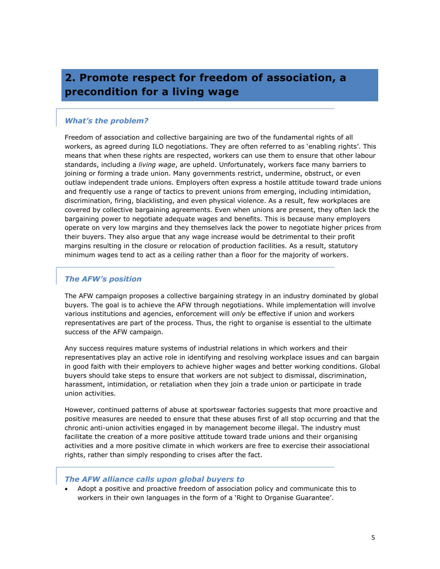## <span id="page-4-0"></span>**2. Promote respect for freedom of association, a precondition for a living wage**

#### *What's the problem?*

Freedom of association and collective bargaining are two of the fundamental rights of all workers, as agreed during ILO negotiations. They are often referred to as 'enabling rights'. This means that when these rights are respected, workers can use them to ensure that other labour standards, including a *living wage*, are upheld. Unfortunately, workers face many barriers to joining or forming a trade union. Many governments restrict, undermine, obstruct, or even outlaw independent trade unions. Employers often express a hostile attitude toward trade unions and frequently use a range of tactics to prevent unions from emerging, including intimidation, discrimination, firing, blacklisting, and even physical violence. As a result, few workplaces are covered by collective bargaining agreements. Even when unions are present, they often lack the bargaining power to negotiate adequate wages and benefits. This is because many employers operate on very low margins and they themselves lack the power to negotiate higher prices from their buyers. They also argue that any wage increase would be detrimental to their profit margins resulting in the closure or relocation of production facilities. As a result, statutory minimum wages tend to act as a ceiling rather than a floor for the majority of workers.

#### *The AFW's position*

The AFW campaign proposes a collective bargaining strategy in an industry dominated by global buyers. The goal is to achieve the AFW through negotiations. While implementation will involve various institutions and agencies, enforcement will *only* be effective if union and workers representatives are part of the process. Thus, the right to organise is essential to the ultimate success of the AFW campaign.

Any success requires mature systems of industrial relations in which workers and their representatives play an active role in identifying and resolving workplace issues and can bargain in good faith with their employers to achieve higher wages and better working conditions. Global buyers should take steps to ensure that workers are not subject to dismissal, discrimination, harassment, intimidation, or retaliation when they join a trade union or participate in trade union activities.

However, continued patterns of abuse at sportswear factories suggests that more proactive and positive measures are needed to ensure that these abuses first of all stop occurring and that the chronic anti-union activities engaged in by management become illegal. The industry must facilitate the creation of a more positive attitude toward trade unions and their organising activities and a more positive climate in which workers are free to exercise their associational rights, rather than simply responding to crises after the fact.

#### *The AFW alliance calls upon global buyers to*

 Adopt a positive and proactive freedom of association policy and communicate this to workers in their own languages in the form of a 'Right to Organise Guarantee'.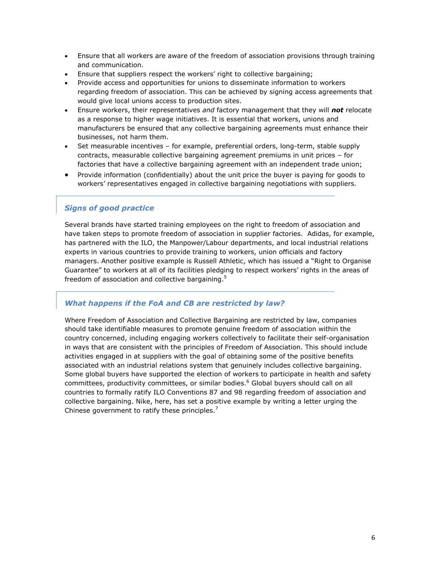- Ensure that all workers are aware of the freedom of association provisions through training and communication.
- Ensure that suppliers respect the workers" right to collective bargaining;
- Provide access and opportunities for unions to disseminate information to workers regarding freedom of association. This can be achieved by signing access agreements that would give local unions access to production sites.
- Ensure workers, their representatives *and* factory management that they will *not* relocate as a response to higher wage initiatives. It is essential that workers, unions and manufacturers be ensured that any collective bargaining agreements must enhance their businesses, not harm them.
- Set measurable incentives for example, preferential orders, long-term, stable supply contracts, measurable collective bargaining agreement premiums in unit prices – for factories that have a collective bargaining agreement with an independent trade union;
- Provide information (confidentially) about the unit price the buyer is paying for goods to workers' representatives engaged in collective bargaining negotiations with suppliers.

#### *Signs of good practice*

Several brands have started training employees on the right to freedom of association and have taken steps to promote freedom of association in supplier factories. Adidas, for example, has partnered with the ILO, the Manpower/Labour departments, and local industrial relations experts in various countries to provide training to workers, union officials and factory managers. Another positive example is Russell Athletic, which has issued a "Right to Organise Guarantee" to workers at all of its facilities pledging to respect workers" rights in the areas of freedom of association and collective bargaining.<sup>5</sup>

#### *What happens if the FoA and CB are restricted by law?*

Where Freedom of Association and Collective Bargaining are restricted by law, companies should take identifiable measures to promote genuine freedom of association within the country concerned, including engaging workers collectively to facilitate their self-organisation in ways that are consistent with the principles of Freedom of Association. This should include activities engaged in at suppliers with the goal of obtaining some of the positive benefits associated with an industrial relations system that genuinely includes collective bargaining. Some global buyers have supported the election of workers to participate in health and safety committees, productivity committees, or similar bodies.<sup>6</sup> Global buyers should call on all countries to formally ratify ILO Conventions 87 and 98 regarding freedom of association and collective bargaining. Nike, here, has set a positive example by writing a letter urging the Chinese government to ratify these principles. $<sup>7</sup>$ </sup>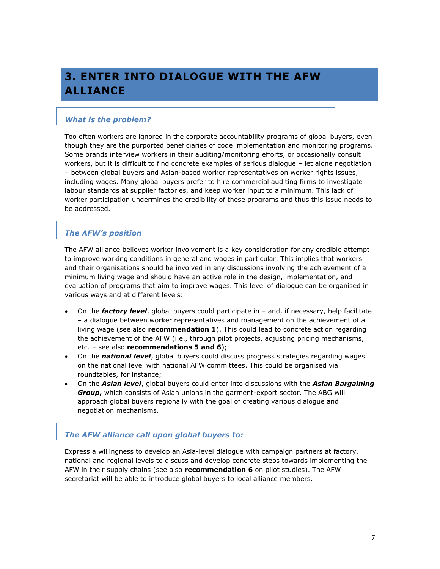## <span id="page-6-0"></span>**3. ENTER INTO DIALOGUE WITH THE AFW ALLIANCE**

#### *What is the problem?*

Too often workers are ignored in the corporate accountability programs of global buyers, even though they are the purported beneficiaries of code implementation and monitoring programs. Some brands interview workers in their auditing/monitoring efforts, or occasionally consult workers, but it is difficult to find concrete examples of serious dialogue – let alone negotiation – between global buyers and Asian-based worker representatives on worker rights issues, including wages. Many global buyers prefer to hire commercial auditing firms to investigate labour standards at supplier factories, and keep worker input to a minimum. This lack of worker participation undermines the credibility of these programs and thus this issue needs to be addressed.

#### *The AFW's position*

The AFW alliance believes worker involvement is a key consideration for any credible attempt to improve working conditions in general and wages in particular. This implies that workers and their organisations should be involved in any discussions involving the achievement of a minimum living wage and should have an active role in the design, implementation, and evaluation of programs that aim to improve wages. This level of dialogue can be organised in various ways and at different levels:

- On the *factory level*, global buyers could participate in and, if necessary, help facilitate – a dialogue between worker representatives and management on the achievement of a living wage (see also **recommendation 1**). This could lead to concrete action regarding the achievement of the AFW (i.e., through pilot projects, adjusting pricing mechanisms, etc. – see also **recommendations 5 and 6**);
- On the *national level*, global buyers could discuss progress strategies regarding wages on the national level with national AFW committees. This could be organised via roundtables, for instance;
- On the *Asian level*, global buyers could enter into discussions with the *Asian Bargaining Group***,** which consists of Asian unions in the garment-export sector. The ABG will approach global buyers regionally with the goal of creating various dialogue and negotiation mechanisms.

#### *The AFW alliance call upon global buyers to:*

Express a willingness to develop an Asia-level dialogue with campaign partners at factory, national and regional levels to discuss and develop concrete steps towards implementing the AFW in their supply chains (see also **recommendation 6** on pilot studies). The AFW secretariat will be able to introduce global buyers to local alliance members.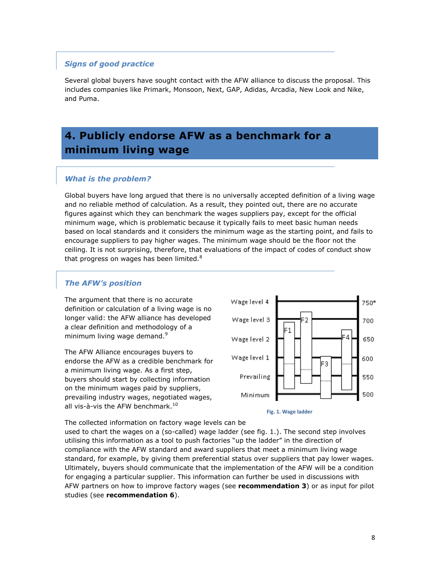#### *Signs of good practice*

Several global buyers have sought contact with the AFW alliance to discuss the proposal. This includes companies like Primark, Monsoon, Next, GAP, Adidas, Arcadia, New Look and Nike, and Puma.

## <span id="page-7-0"></span>**4. Publicly endorse AFW as a benchmark for a minimum living wage**

#### *What is the problem?*

Global buyers have long argued that there is no universally accepted definition of a living wage and no reliable method of calculation. As a result, they pointed out, there are no accurate figures against which they can benchmark the wages suppliers pay, except for the official minimum wage, which is problematic because it typically fails to meet basic human needs based on local standards and it considers the minimum wage as the starting point, and fails to encourage suppliers to pay higher wages. The minimum wage should be the floor not the ceiling. It is not surprising, therefore, that evaluations of the impact of codes of conduct show that progress on wages has been limited. $8$ 

#### *The AFW's position*

The argument that there is no accurate definition or calculation of a living wage is no longer valid: the AFW alliance has developed a clear definition and methodology of a minimum living wage demand.<sup>9</sup>

The AFW Alliance encourages buyers to endorse the AFW as a credible benchmark for a minimum living wage. As a first step, buyers should start by collecting information on the minimum wages paid by suppliers, prevailing industry wages, negotiated wages, all vis-à-vis the AFW benchmark. $10$ 



**Fig. 1. Wage ladder**

The collected information on factory wage levels can be

used to chart the wages on a (so-called) wage ladder (see fig. 1.). The second step involves utilising this information as a tool to push factories "up the ladder" in the direction of compliance with the AFW standard and award suppliers that meet a minimum living wage standard, for example, by giving them preferential status over suppliers that pay lower wages. Ultimately, buyers should communicate that the implementation of the AFW will be a condition for engaging a particular supplier. This information can further be used in discussions with AFW partners on how to improve factory wages (see **recommendation 3**) or as input for pilot studies (see **recommendation 6**).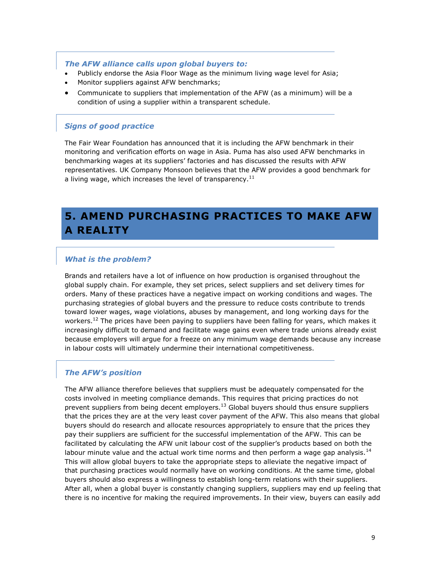#### *The AFW alliance calls upon global buyers to:*

- Publicly endorse the Asia Floor Wage as the minimum living wage level for Asia;
- Monitor suppliers against AFW benchmarks;
- Communicate to suppliers that implementation of the AFW (as a minimum) will be a condition of using a supplier within a transparent schedule.

#### *Signs of good practice*

The Fair Wear Foundation has announced that it is including the AFW benchmark in their monitoring and verification efforts on wage in Asia. Puma has also used AFW benchmarks in benchmarking wages at its suppliers" factories and has discussed the results with AFW representatives. UK Company Monsoon believes that the AFW provides a good benchmark for a living wage, which increases the level of transparency.<sup>11</sup>

## <span id="page-8-0"></span>**5. AMEND PURCHASING PRACTICES TO MAKE AFW A REALITY**

#### *What is the problem?*

Brands and retailers have a lot of influence on how production is organised throughout the global supply chain. For example, they set prices, select suppliers and set delivery times for orders. Many of these practices have a negative impact on working conditions and wages. The purchasing strategies of global buyers and the pressure to reduce costs contribute to trends toward lower wages, wage violations, abuses by management, and long working days for the workers.<sup>12</sup> The prices have been paying to suppliers have been falling for years, which makes it increasingly difficult to demand and facilitate wage gains even where trade unions already exist because employers will argue for a freeze on any minimum wage demands because any increase in labour costs will ultimately undermine their international competitiveness.

#### *The AFW's position*

The AFW alliance therefore believes that suppliers must be adequately compensated for the costs involved in meeting compliance demands. This requires that pricing practices do not prevent suppliers from being decent employers. $13$  Global buyers should thus ensure suppliers that the prices they are at the very least cover payment of the AFW. This also means that global buyers should do research and allocate resources appropriately to ensure that the prices they pay their suppliers are sufficient for the successful implementation of the AFW. This can be facilitated by calculating the AFW unit labour cost of the supplier"s products based on both the labour minute value and the actual work time norms and then perform a wage gap analysis.<sup>14</sup> This will allow global buyers to take the appropriate steps to alleviate the negative impact of that purchasing practices would normally have on working conditions. At the same time, global buyers should also express a willingness to establish long-term relations with their suppliers. After all, when a global buyer is constantly changing suppliers, suppliers may end up feeling that there is no incentive for making the required improvements. In their view, buyers can easily add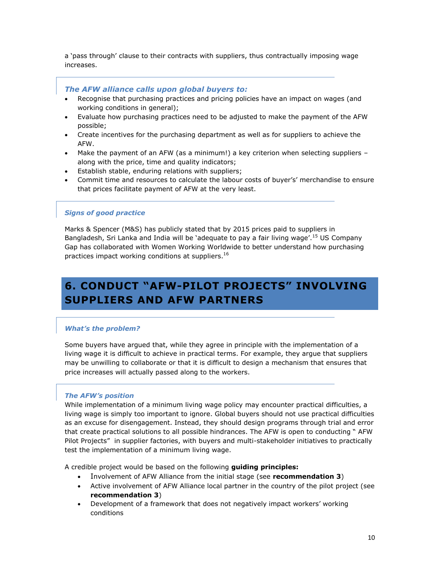a 'pass through' clause to their contracts with suppliers, thus contractually imposing wage increases.

#### *The AFW alliance calls upon global buyers to:*

- Recognise that purchasing practices and pricing policies have an impact on wages (and working conditions in general);
- Evaluate how purchasing practices need to be adjusted to make the payment of the AFW possible;
- Create incentives for the purchasing department as well as for suppliers to achieve the AFW.
- Make the payment of an AFW (as a minimum!) a key criterion when selecting suppliers along with the price, time and quality indicators;
- Establish stable, enduring relations with suppliers;
- Commit time and resources to calculate the labour costs of buyer's' merchandise to ensure that prices facilitate payment of AFW at the very least.

#### *Signs of good practice*

Marks & Spencer (M&S) has publicly stated that by 2015 prices paid to suppliers in Bangladesh, Sri Lanka and India will be 'adequate to pay a fair living wage'.<sup>15</sup> US Company Gap has collaborated with Women Working Worldwide to better understand how purchasing practices impact working conditions at suppliers.<sup>16</sup>

## <span id="page-9-0"></span>**6. CONDUCT "AFW-PILOT PROJECTS" INVOLVING SUPPLIERS AND AFW PARTNERS**

#### *What's the problem?*

Some buyers have argued that, while they agree in principle with the implementation of a living wage it is difficult to achieve in practical terms. For example, they argue that suppliers may be unwilling to collaborate or that it is difficult to design a mechanism that ensures that price increases will actually passed along to the workers.

#### *The AFW's position*

While implementation of a minimum living wage policy may encounter practical difficulties, a living wage is simply too important to ignore. Global buyers should not use practical difficulties as an excuse for disengagement. Instead, they should design programs through trial and error that create practical solutions to all possible hindrances. The AFW is open to conducting " AFW Pilot Projects" in supplier factories, with buyers and multi-stakeholder initiatives to practically test the implementation of a minimum living wage.

A credible project would be based on the following **guiding principles:**

- Involvement of AFW Alliance from the initial stage (see **recommendation 3**)
- Active involvement of AFW Alliance local partner in the country of the pilot project (see **recommendation 3**)
- Development of a framework that does not negatively impact workers' working conditions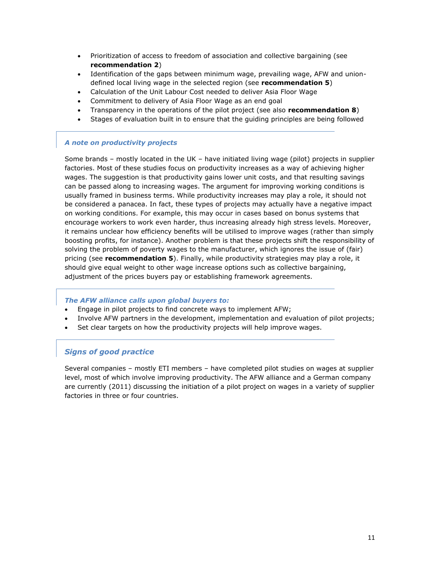- Prioritization of access to freedom of association and collective bargaining (see **recommendation 2**)
- Identification of the gaps between minimum wage, prevailing wage, AFW and uniondefined local living wage in the selected region (see **recommendation 5**)
- Calculation of the Unit Labour Cost needed to deliver Asia Floor Wage
- Commitment to delivery of Asia Floor Wage as an end goal
- Transparency in the operations of the pilot project (see also **recommendation 8**)
- Stages of evaluation built in to ensure that the guiding principles are being followed

#### *A note on productivity projects*

Some brands – mostly located in the UK – have initiated living wage (pilot) projects in supplier factories. Most of these studies focus on productivity increases as a way of achieving higher wages. The suggestion is that productivity gains lower unit costs, and that resulting savings can be passed along to increasing wages. The argument for improving working conditions is usually framed in business terms. While productivity increases may play a role, it should not be considered a panacea. In fact, these types of projects may actually have a negative impact on working conditions. For example, this may occur in cases based on bonus systems that encourage workers to work even harder, thus increasing already high stress levels. Moreover, it remains unclear how efficiency benefits will be utilised to improve wages (rather than simply boosting profits, for instance). Another problem is that these projects shift the responsibility of solving the problem of poverty wages to the manufacturer, which ignores the issue of (fair) pricing (see **recommendation 5**). Finally, while productivity strategies may play a role, it should give equal weight to other wage increase options such as collective bargaining, adjustment of the prices buyers pay or establishing framework agreements.

#### *The AFW alliance calls upon global buyers to:*

- Engage in pilot projects to find concrete ways to implement AFW;
- Involve AFW partners in the development, implementation and evaluation of pilot projects;
- Set clear targets on how the productivity projects will help improve wages.

#### *Signs of good practice*

Several companies – mostly ETI members – have completed pilot studies on wages at supplier level, most of which involve improving productivity. The AFW alliance and a German company are currently (2011) discussing the initiation of a pilot project on wages in a variety of supplier factories in three or four countries.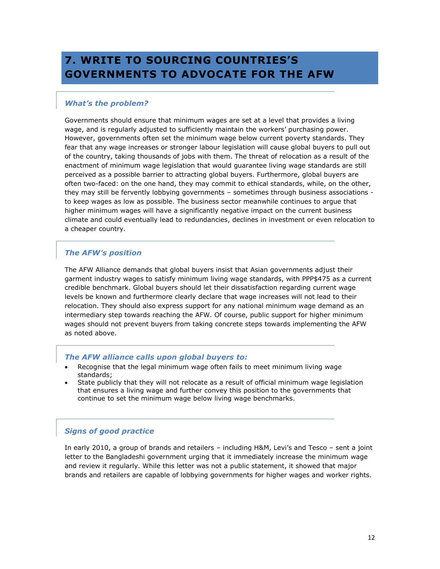## <span id="page-11-0"></span>**7. WRITE TO SOURCING COUNTRIES'S GOVERNMENTS TO ADVOCATE FOR THE AFW**

#### *What's the problem?*

Governments should ensure that minimum wages are set at a level that provides a living wage, and is regularly adjusted to sufficiently maintain the workers" purchasing power. However, governments often set the minimum wage below current poverty standards. They fear that any wage increases or stronger labour legislation will cause global buyers to pull out of the country, taking thousands of jobs with them. The threat of relocation as a result of the enactment of minimum wage legislation that would guarantee living wage standards are still perceived as a possible barrier to attracting global buyers. Furthermore, global buyers are often two-faced: on the one hand, they may commit to ethical standards, while, on the other, they may still be fervently lobbying governments – sometimes through business associations to keep wages as low as possible. The business sector meanwhile continues to argue that higher minimum wages will have a significantly negative impact on the current business climate and could eventually lead to redundancies, declines in investment or even relocation to a cheaper country.

#### *The AFW's position*

The AFW Alliance demands that global buyers insist that Asian governments adjust their garment industry wages to satisfy minimum living wage standards, with PPP\$475 as a current credible benchmark. Global buyers should let their dissatisfaction regarding current wage levels be known and furthermore clearly declare that wage increases will not lead to their relocation. They should also express support for any national minimum wage demand as an intermediary step towards reaching the AFW. Of course, public support for higher minimum wages should not prevent buyers from taking concrete steps towards implementing the AFW as noted above.

#### *The AFW alliance calls upon global buyers to:*

- Recognise that the legal minimum wage often fails to meet minimum living wage standards;
- State publicly that they will not relocate as a result of official minimum wage legislation that ensures a living wage and further convey this position to the governments that continue to set the minimum wage below living wage benchmarks.

#### *Signs of good practice*

In early 2010, a group of brands and retailers – including H&M, Levi"s and Tesco – sent a joint letter to the Bangladeshi government urging that it immediately increase the minimum wage and review it regularly. While this letter was not a public statement, it showed that major brands and retailers are capable of lobbying governments for higher wages and worker rights.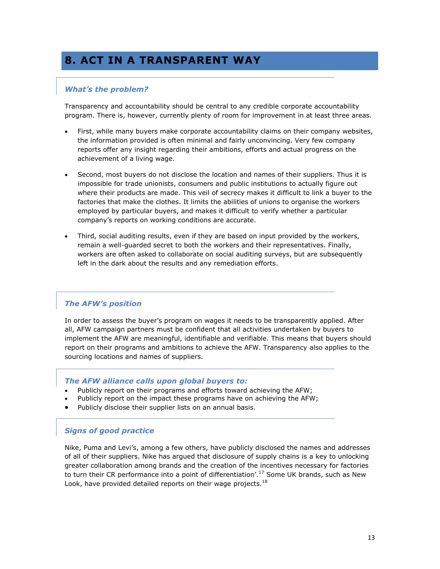## <span id="page-12-0"></span>**8. ACT IN A TRANSPARENT WAY**

#### *What's the problem?*

Transparency and accountability should be central to any credible corporate accountability program. There is, however, currently plenty of room for improvement in at least three areas.

- First, while many buyers make corporate accountability claims on their company websites, the information provided is often minimal and fairly unconvincing. Very few company reports offer any insight regarding their ambitions, efforts and actual progress on the achievement of a living wage.
- Second, most buyers do not disclose the location and names of their suppliers. Thus it is impossible for trade unionists, consumers and public institutions to actually figure out where their products are made. This veil of secrecy makes it difficult to link a buyer to the factories that make the clothes. It limits the abilities of unions to organise the workers employed by particular buyers, and makes it difficult to verify whether a particular company"s reports on working conditions are accurate.
- Third, social auditing results, even if they are based on input provided by the workers, remain a well-guarded secret to both the workers and their representatives. Finally, workers are often asked to collaborate on social auditing surveys, but are subsequently left in the dark about the results and any remediation efforts.

#### *The AFW's position*

In order to assess the buyer"s program on wages it needs to be transparently applied. After all, AFW campaign partners must be confident that all activities undertaken by buyers to implement the AFW are meaningful, identifiable and verifiable. This means that buyers should report on their programs and ambitions to achieve the AFW. Transparency also applies to the sourcing locations and names of suppliers.

#### *The AFW alliance calls upon global buyers to:*

- Publicly report on their programs and efforts toward achieving the AFW;
- Publicly report on the impact these programs have on achieving the AFW;
- Publicly disclose their supplier lists on an annual basis.

#### *Signs of good practice*

Nike, Puma and Levi"s, among a few others, have publicly disclosed the names and addresses of all of their suppliers. Nike has argued that disclosure of supply chains is a key to unlocking greater collaboration among brands and the creation of the incentives necessary for factories to turn their CR performance into a point of differentiation'.<sup>17</sup> Some UK brands, such as New Look, have provided detailed reports on their wage projects. $18$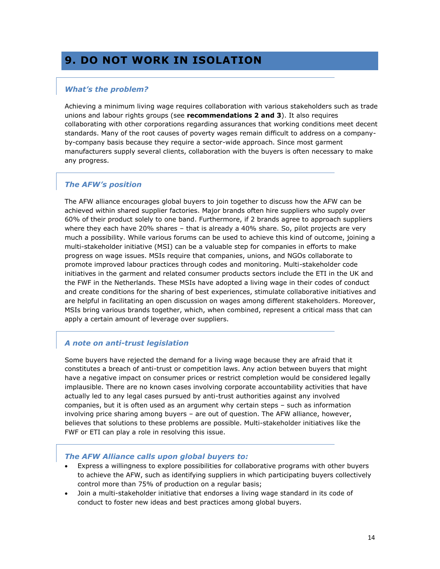## <span id="page-13-0"></span>**9. DO NOT WORK IN ISOLATION**

#### *What's the problem?*

Achieving a minimum living wage requires collaboration with various stakeholders such as trade unions and labour rights groups (see **recommendations 2 and 3**). It also requires collaborating with other corporations regarding assurances that working conditions meet decent standards. Many of the root causes of poverty wages remain difficult to address on a companyby-company basis because they require a sector-wide approach. Since most garment manufacturers supply several clients, collaboration with the buyers is often necessary to make any progress.

#### *The AFW's position*

The AFW alliance encourages global buyers to join together to discuss how the AFW can be achieved within shared supplier factories. Major brands often hire suppliers who supply over 60% of their product solely to one band. Furthermore, if 2 brands agree to approach suppliers where they each have 20% shares – that is already a 40% share. So, pilot projects are very much a possibility. While various forums can be used to achieve this kind of outcome, joining a multi-stakeholder initiative (MSI) can be a valuable step for companies in efforts to make progress on wage issues. MSIs require that companies, unions, and NGOs collaborate to promote improved labour practices through codes and monitoring. Multi-stakeholder code initiatives in the garment and related consumer products sectors include the ETI in the UK and the FWF in the Netherlands. These MSIs have adopted a living wage in their codes of conduct and create conditions for the sharing of best experiences, stimulate collaborative initiatives and are helpful in facilitating an open discussion on wages among different stakeholders. Moreover, MSIs bring various brands together, which, when combined, represent a critical mass that can apply a certain amount of leverage over suppliers.

#### *A note on anti-trust legislation*

Some buyers have rejected the demand for a living wage because they are afraid that it constitutes a breach of anti-trust or competition laws. Any action between buyers that might have a negative impact on consumer prices or restrict completion would be considered legally implausible. There are no known cases involving corporate accountability activities that have actually led to any legal cases pursued by anti-trust authorities against any involved companies, but it is often used as an argument why certain steps – such as information involving price sharing among buyers – are out of question. The AFW alliance, however, believes that solutions to these problems are possible. Multi-stakeholder initiatives like the FWF or ETI can play a role in resolving this issue.

#### *The AFW Alliance calls upon global buyers to:*

- Express a willingness to explore possibilities for collaborative programs with other buyers to achieve the AFW, such as identifying suppliers in which participating buyers collectively control more than 75% of production on a regular basis;
- Join a multi-stakeholder initiative that endorses a living wage standard in its code of conduct to foster new ideas and best practices among global buyers.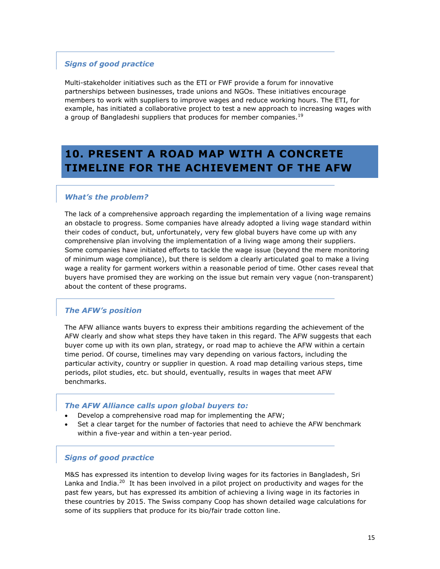#### *Signs of good practice*

Multi-stakeholder initiatives such as the ETI or FWF provide a forum for innovative partnerships between businesses, trade unions and NGOs. These initiatives encourage members to work with suppliers to improve wages and reduce working hours. The ETI, for example, has initiated a collaborative project to test a new approach to increasing wages with a group of Bangladeshi suppliers that produces for member companies. $^{19}$ 

## <span id="page-14-0"></span>**10. PRESENT A ROAD MAP WITH A CONCRETE TIMELINE FOR THE ACHIEVEMENT OF THE AFW**

#### *What's the problem?*

The lack of a comprehensive approach regarding the implementation of a living wage remains an obstacle to progress. Some companies have already adopted a living wage standard within their codes of conduct, but, unfortunately, very few global buyers have come up with any comprehensive plan involving the implementation of a living wage among their suppliers. Some companies have initiated efforts to tackle the wage issue (beyond the mere monitoring of minimum wage compliance), but there is seldom a clearly articulated goal to make a living wage a reality for garment workers within a reasonable period of time. Other cases reveal that buyers have promised they are working on the issue but remain very vague (non-transparent) about the content of these programs.

#### *The AFW's position*

The AFW alliance wants buyers to express their ambitions regarding the achievement of the AFW clearly and show what steps they have taken in this regard. The AFW suggests that each buyer come up with its own plan, strategy, or road map to achieve the AFW within a certain time period. Of course, timelines may vary depending on various factors, including the particular activity, country or supplier in question. A road map detailing various steps, time periods, pilot studies, etc. but should, eventually, results in wages that meet AFW benchmarks.

#### *The AFW Alliance calls upon global buyers to:*

- Develop a comprehensive road map for implementing the AFW;
- Set a clear target for the number of factories that need to achieve the AFW benchmark within a five-year and within a ten-year period.

#### *Signs of good practice*

M&S has expressed its intention to develop living wages for its factories in Bangladesh, Sri Lanka and India.<sup>20</sup> It has been involved in a pilot project on productivity and wages for the past few years, but has expressed its ambition of achieving a living wage in its factories in these countries by 2015. The Swiss company Coop has shown detailed wage calculations for some of its suppliers that produce for its bio/fair trade cotton line.